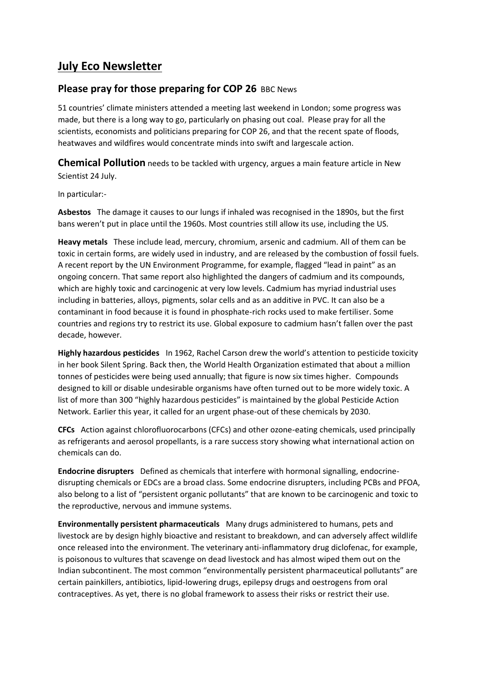# **July Eco Newsletter**

## **Please pray for those preparing for COP 26 BBC News**

51 countries' climate ministers attended a meeting last weekend in London; some progress was made, but there is a long way to go, particularly on phasing out coal. Please pray for all the scientists, economists and politicians preparing for COP 26, and that the recent spate of floods, heatwaves and wildfires would concentrate minds into swift and largescale action.

**Chemical Pollution** needs to be tackled with urgency, argues a main feature article in New Scientist 24 July.

In particular:-

**Asbestos** The damage it causes to our lungs if inhaled was recognised in the 1890s, but the first bans weren't put in place until the 1960s. Most countries still allow its use, including the US.

**Heavy metals** These include lead, mercury, chromium, arsenic and cadmium. All of them can be toxic in certain forms, are widely used in industry, and are released by the combustion of fossil fuels. A recent report by the UN Environment Programme, for example, flagged "lead in paint" as an ongoing concern. That same report also highlighted the dangers of cadmium and its compounds, which are highly toxic and carcinogenic at very low levels. Cadmium has myriad industrial uses including in batteries, alloys, pigments, solar cells and as an additive in PVC. It can also be a contaminant in food because it is found in phosphate-rich rocks used to make fertiliser. Some countries and regions try to restrict its use. Global exposure to cadmium hasn't fallen over the past decade, however.

**Highly hazardous pesticides** In 1962, Rachel Carson drew the world's attention to pesticide toxicity in her book Silent Spring. Back then, the World Health Organization estimated that about a million tonnes of pesticides were being used annually; that figure is now six times higher. Compounds designed to kill or disable undesirable organisms have often turned out to be more widely toxic. A list of more than 300 "highly hazardous pesticides" is maintained by the global Pesticide Action Network. Earlier this year, it called for an urgent phase-out of these chemicals by 2030.

**CFCs** Action against chlorofluorocarbons (CFCs) and other ozone-eating chemicals, used principally as refrigerants and aerosol propellants, is a rare success story showing what international action on chemicals can do.

**Endocrine disrupters** Defined as chemicals that interfere with hormonal signalling, endocrinedisrupting chemicals or EDCs are a broad class. Some endocrine disrupters, including PCBs and PFOA, also belong to a list of "persistent organic pollutants" that are known to be carcinogenic and toxic to the reproductive, nervous and immune systems.

**Environmentally persistent pharmaceuticals** Many drugs administered to humans, pets and livestock are by design highly bioactive and resistant to breakdown, and can adversely affect wildlife once released into the environment. The veterinary anti-inflammatory drug diclofenac, for example, is poisonous to vultures that scavenge on dead livestock and has almost wiped them out on the Indian subcontinent. The most common "environmentally persistent pharmaceutical pollutants" are certain painkillers, antibiotics, lipid-lowering drugs, epilepsy drugs and oestrogens from oral contraceptives. As yet, there is no global framework to assess their risks or restrict their use.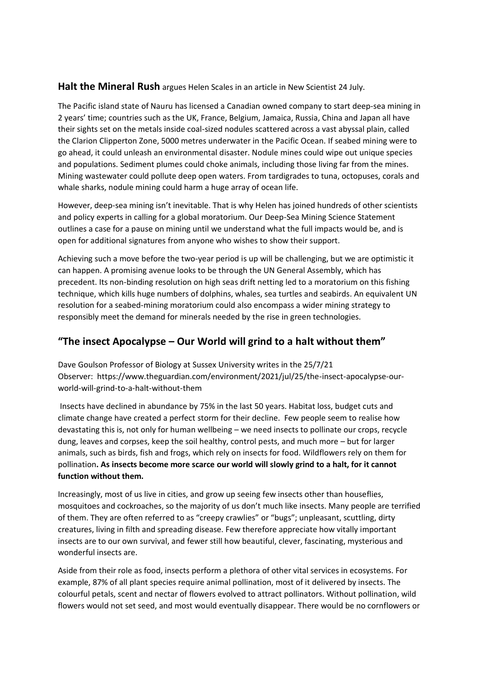### **Halt the Mineral Rush** argues Helen Scales in an article in New Scientist 24 July.

The Pacific island state of Nauru has licensed a Canadian owned company to start deep-sea mining in 2 years' time; countries such as the UK, France, Belgium, Jamaica, Russia, China and Japan all have their sights set on the metals inside coal-sized nodules scattered across a vast abyssal plain, called the Clarion Clipperton Zone, 5000 metres underwater in the Pacific Ocean. If seabed mining were to go ahead, it could unleash an environmental disaster. Nodule mines could wipe out unique species and populations. Sediment plumes could choke animals, including those living far from the mines. Mining wastewater could pollute deep open waters. From tardigrades to tuna, octopuses, corals and whale sharks, nodule mining could harm a huge array of ocean life.

However, deep-sea mining isn't inevitable. That is why Helen has joined hundreds of other scientists and policy experts in calling for a global moratorium. Our Deep-Sea Mining Science Statement outlines a case for a pause on mining until we understand what the full impacts would be, and is open for additional signatures from anyone who wishes to show their support.

Achieving such a move before the two-year period is up will be challenging, but we are optimistic it can happen. A promising avenue looks to be through the UN General Assembly, which has precedent. Its non-binding resolution on high seas drift netting led to a moratorium on this fishing technique, which kills huge numbers of dolphins, whales, sea turtles and seabirds. An equivalent UN resolution for a seabed-mining moratorium could also encompass a wider mining strategy to responsibly meet the demand for minerals needed by the rise in green technologies.

## **"The insect Apocalypse – Our World will grind to a halt without them"**

Dave Goulson Professor of Biology at Sussex University writes in the 25/7/21 Observer: [https://www.theguardian.com/environment/2021/jul/25/the-insect-apocalypse-our](https://www.theguardian.com/environment/2021/jul/25/the-insect-apocalypse-our-world-will-grind-to-a-halt-without-them)[world-will-grind-to-a-halt-without-them](https://www.theguardian.com/environment/2021/jul/25/the-insect-apocalypse-our-world-will-grind-to-a-halt-without-them)

Insects have declined in abundance by 75% in the last 50 years. Habitat loss, budget cuts and climate change have created a perfect storm for their decline. Few people seem to realise how devastating this is, not only for human wellbeing – we need insects to pollinate our crops, recycle dung, leaves and corpses, keep the soil healthy, control pests, and much more – but for larger animals, such as birds, fish and frogs, which rely on insects for food. Wildflowers rely on them for pollination**. As insects become more scarce our world will slowly grind to a halt, for it cannot function without them.**

Increasingly, most of us live in cities, and grow up seeing few insects other than houseflies, mosquitoes and cockroaches, so the majority of us don't much like insects. Many people are terrified of them. They are often referred to as "creepy crawlies" or "bugs"; unpleasant, scuttling, dirty creatures, living in filth and spreading disease. Few therefore appreciate how vitally important insects are to our own survival, and fewer still how beautiful, clever, fascinating, mysterious and wonderful insects are.

Aside from their role as food, insects perform a plethora of other vital services in ecosystems. For example, 87% of all plant species require animal pollination, most of it delivered by insects. The colourful petals, scent and nectar of flowers evolved to attract pollinators. Without pollination, wild flowers would not set seed, and most would eventually disappear. There would be no cornflowers or